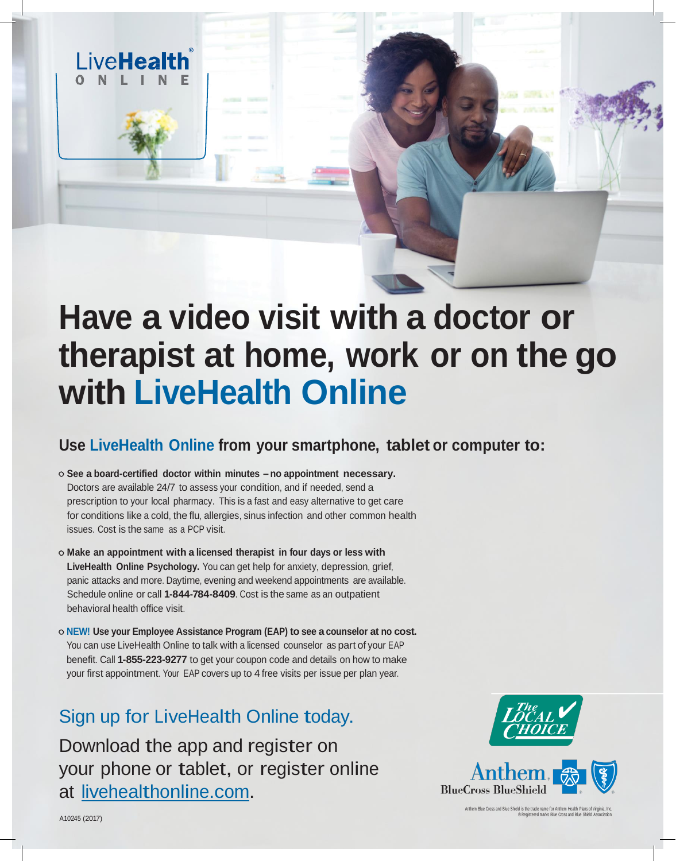## **Have a video visit with a doctor or therapist at home, work or on the go with LiveHealth Online**

## **Use LiveHealth Online from your smartphone, tablet or computer to:**

**See a board-certified doctor within minutes – no appointment necessary.**  Doctors are available 24/7 to assess your condition, and if needed, send a prescription to your local pharmacy. This is a fast and easy alternative to get care for conditions like a cold, the flu, allergies, sinus infection and other common health issues. Cost is the same as a PCP visit.

LiveHealth

- **Make an appointment with a licensed therapist in four days or less with LiveHealth Online Psychology.** You can get help for anxiety, depression, grief, panic attacks and more. Daytime, evening and weekend appointments are available. Schedule online or call **1-844-784-8409**. Cost is the same as an outpatient behavioral health office visit.
- **NEW! Use your Employee Assistance Program (EAP) to see a counselor at no cost.**  You can use LiveHealth Online to talk with a licensed counselor as part of your EAP benefit. Call **1-855-223-9277** to get your coupon code and details on how to make your first appointment. Your EAP covers up to 4 free visits per issue per plan year.

## Sign up for LiveHealth Online today.

Download the app and register on your phone or tablet, or register online at [livehealthonline.com.](http://www.livehealthonline.com/)



Anthem Blue Cross and Blue Shield is the trade name for Anthem Health Plans of Virginia, Inc. ® Registered marks Blue Cross and Blue Shield Association.